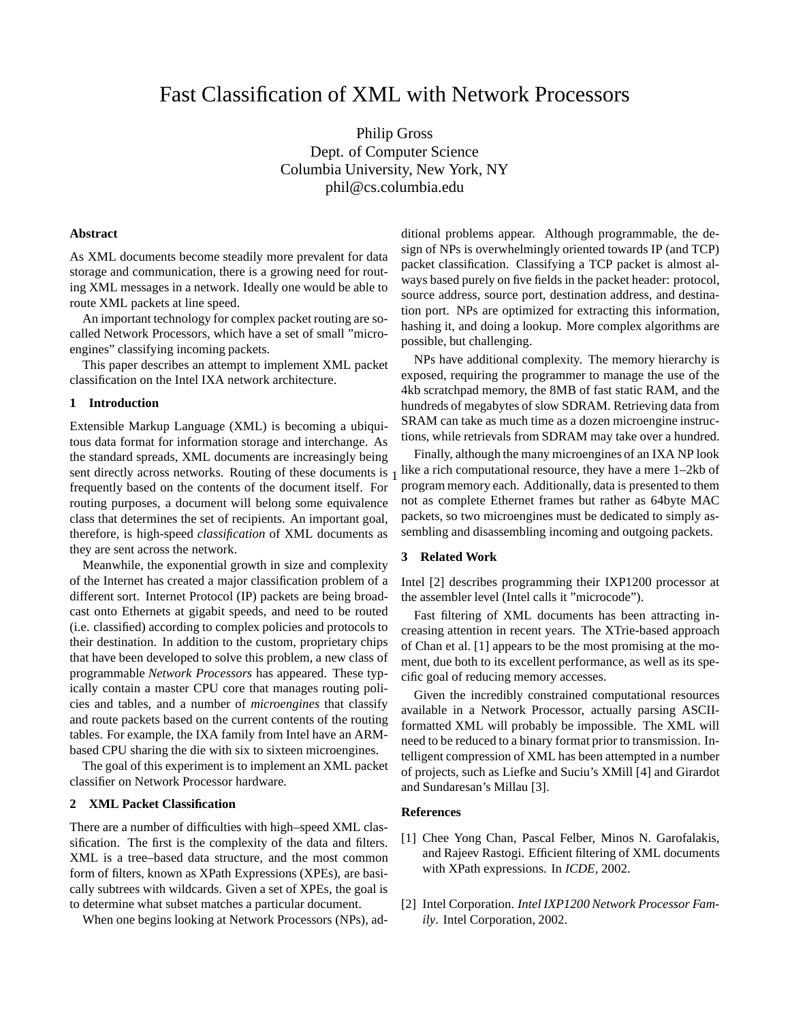# Fast Classification of XML with Network Processors

Philip Gross Dept. of Computer Science Columbia University, New York, NY phil@cs.columbia.edu

### **Abstract**

As XML documents become steadily more prevalent for data storage and communication, there is a growing need for routing XML messages in a network. Ideally one would be able to route XML packets at line speed.

An important technology for complex packet routing are socalled Network Processors, which have a set of small "microengines" classifying incoming packets.

This paper describes an attempt to implement XML packet classification on the Intel IXA network architecture.

#### **1 Introduction**

Extensible Markup Language (XML) is becoming a ubiquitous data format for information storage and interchange. As the standard spreads, XML documents are increasingly being frequently based on the contents of the document itself. For routing purposes, a document will belong some equivalence class that determines the set of recipients. An important goal, therefore, is high-speed *classification* of XML documents as they are sent across the network.

Meanwhile, the exponential growth in size and complexity of the Internet has created a major classification problem of a different sort. Internet Protocol (IP) packets are being broadcast onto Ethernets at gigabit speeds, and need to be routed (i.e. classified) according to complex policies and protocols to their destination. In addition to the custom, proprietary chips that have been developed to solve this problem, a new class of programmable *Network Processors* has appeared. These typically contain a master CPU core that manages routing policies and tables, and a number of *microengines* that classify and route packets based on the current contents of the routing tables. For example, the IXA family from Intel have an ARMbased CPU sharing the die with six to sixteen microengines.

The goal of this experiment is to implement an XML packet classifier on Network Processor hardware.

#### **2 XML Packet Classification**

There are a number of difficulties with high–speed XML classification. The first is the complexity of the data and filters. XML is a tree–based data structure, and the most common form of filters, known as XPath Expressions (XPEs), are basically subtrees with wildcards. Given a set of XPEs, the goal is to determine what subset matches a particular document.

When one begins looking at Network Processors (NPs), ad-

ditional problems appear. Although programmable, the design of NPs is overwhelmingly oriented towards IP (and TCP) packet classification. Classifying a TCP packet is almost always based purely on five fields in the packet header: protocol, source address, source port, destination address, and destination port. NPs are optimized for extracting this information, hashing it, and doing a lookup. More complex algorithms are possible, but challenging.

NPs have additional complexity. The memory hierarchy is exposed, requiring the programmer to manage the use of the 4kb scratchpad memory, the 8MB of fast static RAM, and the hundreds of megabytes of slow SDRAM. Retrieving data from SRAM can take as much time as a dozen microengine instructions, while retrievals from SDRAM may take over a hundred.

sent directly across networks. Routing of these documents is  $1$  like a rich computational resource, they have a mere  $1-2kb$  of Finally, although the many microengines of an IXA NP look program memory each. Additionally, data is presented to them not as complete Ethernet frames but rather as 64byte MAC packets, so two microengines must be dedicated to simply assembling and disassembling incoming and outgoing packets.

## **3 Related Work**

Intel [2] describes programming their IXP1200 processor at the assembler level (Intel calls it "microcode").

Fast filtering of XML documents has been attracting increasing attention in recent years. The XTrie-based approach of Chan et al. [1] appears to be the most promising at the moment, due both to its excellent performance, as well as its specific goal of reducing memory accesses.

Given the incredibly constrained computational resources available in a Network Processor, actually parsing ASCIIformatted XML will probably be impossible. The XML will need to be reduced to a binary format prior to transmission. Intelligent compression of XML has been attempted in a number of projects, such as Liefke and Suciu's XMill [4] and Girardot and Sundaresan's Millau [3].

#### **References**

- [1] Chee Yong Chan, Pascal Felber, Minos N. Garofalakis, and Rajeev Rastogi. Efficient filtering of XML documents with XPath expressions. In *ICDE*, 2002.
- [2] Intel Corporation. *Intel IXP1200 Network Processor Family*. Intel Corporation, 2002.